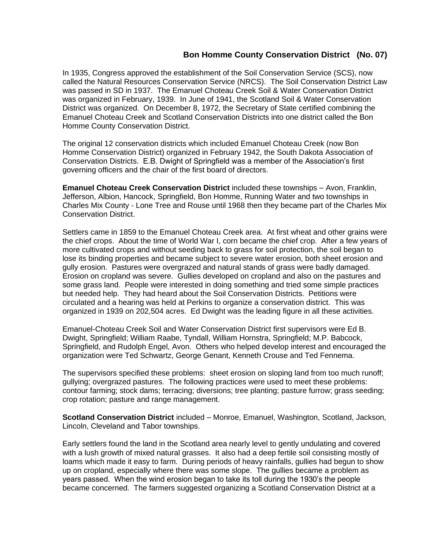## **Bon Homme County Conservation District (No. 07)**

In 1935, Congress approved the establishment of the Soil Conservation Service (SCS), now called the Natural Resources Conservation Service (NRCS). The Soil Conservation District Law was passed in SD in 1937. The Emanuel Choteau Creek Soil & Water Conservation District was organized in February, 1939. In June of 1941, the Scotland Soil & Water Conservation District was organized. On December 8, 1972, the Secretary of State certified combining the Emanuel Choteau Creek and Scotland Conservation Districts into one district called the Bon Homme County Conservation District.

The original 12 conservation districts which included Emanuel Choteau Creek (now Bon Homme Conservation District) organized in February 1942, the South Dakota Association of Conservation Districts. E.B. Dwight of Springfield was a member of the Association's first governing officers and the chair of the first board of directors.

**Emanuel Choteau Creek Conservation District** included these townships – Avon, Franklin, Jefferson, Albion, Hancock, Springfield, Bon Homme, Running Water and two townships in Charles Mix County - Lone Tree and Rouse until 1968 then they became part of the Charles Mix Conservation District.

Settlers came in 1859 to the Emanuel Choteau Creek area. At first wheat and other grains were the chief crops. About the time of World War I, corn became the chief crop. After a few years of more cultivated crops and without seeding back to grass for soil protection, the soil began to lose its binding properties and became subject to severe water erosion, both sheet erosion and gully erosion. Pastures were overgrazed and natural stands of grass were badly damaged. Erosion on cropland was severe. Gullies developed on cropland and also on the pastures and some grass land. People were interested in doing something and tried some simple practices but needed help. They had heard about the Soil Conservation Districts. Petitions were circulated and a hearing was held at Perkins to organize a conservation district. This was organized in 1939 on 202,504 acres. Ed Dwight was the leading figure in all these activities.

Emanuel-Choteau Creek Soil and Water Conservation District first supervisors were Ed B. Dwight, Springfield; William Raabe, Tyndall, William Hornstra, Springfield; M.P. Babcock, Springfield, and Rudolph Engel, Avon. Others who helped develop interest and encouraged the organization were Ted Schwartz, George Genant, Kenneth Crouse and Ted Fennema.

The supervisors specified these problems: sheet erosion on sloping land from too much runoff; gullying; overgrazed pastures. The following practices were used to meet these problems: contour farming; stock dams; terracing; diversions; tree planting; pasture furrow; grass seeding; crop rotation; pasture and range management.

**Scotland Conservation District** included – Monroe, Emanuel, Washington, Scotland, Jackson, Lincoln, Cleveland and Tabor townships.

Early settlers found the land in the Scotland area nearly level to gently undulating and covered with a lush growth of mixed natural grasses. It also had a deep fertile soil consisting mostly of loams which made it easy to farm. During periods of heavy rainfalls, gullies had begun to show up on cropland, especially where there was some slope. The gullies became a problem as years passed. When the wind erosion began to take its toll during the 1930's the people became concerned. The farmers suggested organizing a Scotland Conservation District at a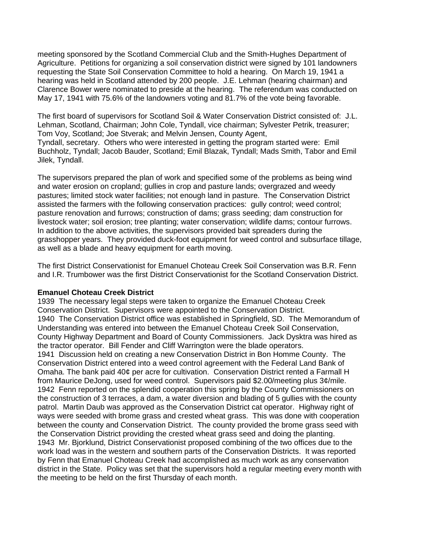meeting sponsored by the Scotland Commercial Club and the Smith-Hughes Department of Agriculture. Petitions for organizing a soil conservation district were signed by 101 landowners requesting the State Soil Conservation Committee to hold a hearing. On March 19, 1941 a hearing was held in Scotland attended by 200 people. J.E. Lehman (hearing chairman) and Clarence Bower were nominated to preside at the hearing. The referendum was conducted on May 17, 1941 with 75.6% of the landowners voting and 81.7% of the vote being favorable.

The first board of supervisors for Scotland Soil & Water Conservation District consisted of: J.L. Lehman, Scotland, Chairman; John Cole, Tyndall, vice chairman; Sylvester Petrik, treasurer; Tom Voy, Scotland; Joe Stverak; and Melvin Jensen, County Agent, Tyndall, secretary. Others who were interested in getting the program started were: Emil Buchholz, Tyndall; Jacob Bauder, Scotland; Emil Blazak, Tyndall; Mads Smith, Tabor and Emil Jilek, Tyndall.

The supervisors prepared the plan of work and specified some of the problems as being wind and water erosion on cropland; gullies in crop and pasture lands; overgrazed and weedy pastures; limited stock water facilities; not enough land in pasture. The Conservation District assisted the farmers with the following conservation practices: gully control; weed control; pasture renovation and furrows; construction of dams; grass seeding; dam construction for livestock water; soil erosion; tree planting; water conservation; wildlife dams; contour furrows. In addition to the above activities, the supervisors provided bait spreaders during the grasshopper years. They provided duck-foot equipment for weed control and subsurface tillage, as well as a blade and heavy equipment for earth moving.

The first District Conservationist for Emanuel Choteau Creek Soil Conservation was B.R. Fenn and I.R. Trumbower was the first District Conservationist for the Scotland Conservation District.

## **Emanuel Choteau Creek District**

1939 The necessary legal steps were taken to organize the Emanuel Choteau Creek Conservation District. Supervisors were appointed to the Conservation District. 1940 The Conservation District office was established in Springfield, SD. The Memorandum of Understanding was entered into between the Emanuel Choteau Creek Soil Conservation, County Highway Department and Board of County Commissioners. Jack Dysktra was hired as the tractor operator. Bill Fender and Cliff Warrington were the blade operators. 1941 Discussion held on creating a new Conservation District in Bon Homme County. The Conservation District entered into a weed control agreement with the Federal Land Bank of Omaha. The bank paid 40¢ per acre for cultivation. Conservation District rented a Farmall H from Maurice DeJong, used for weed control. Supervisors paid \$2.00/meeting plus 3¢/mile. 1942 Fenn reported on the splendid cooperation this spring by the County Commissioners on the construction of 3 terraces, a dam, a water diversion and blading of 5 gullies with the county patrol. Martin Daub was approved as the Conservation District cat operator. Highway right of ways were seeded with brome grass and crested wheat grass. This was done with cooperation between the county and Conservation District. The county provided the brome grass seed with the Conservation District providing the crested wheat grass seed and doing the planting. 1943 Mr. Bjorklund, District Conservationist proposed combining of the two offices due to the work load was in the western and southern parts of the Conservation Districts. It was reported by Fenn that Emanuel Choteau Creek had accomplished as much work as any conservation district in the State. Policy was set that the supervisors hold a regular meeting every month with the meeting to be held on the first Thursday of each month.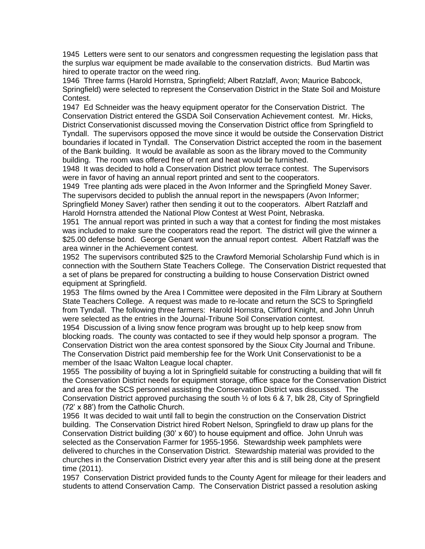1945 Letters were sent to our senators and congressmen requesting the legislation pass that the surplus war equipment be made available to the conservation districts. Bud Martin was hired to operate tractor on the weed ring.

1946 Three farms (Harold Hornstra, Springfield; Albert Ratzlaff, Avon; Maurice Babcock, Springfield) were selected to represent the Conservation District in the State Soil and Moisture Contest.

1947 Ed Schneider was the heavy equipment operator for the Conservation District. The Conservation District entered the GSDA Soil Conservation Achievement contest. Mr. Hicks, District Conservationist discussed moving the Conservation District office from Springfield to Tyndall. The supervisors opposed the move since it would be outside the Conservation District boundaries if located in Tyndall. The Conservation District accepted the room in the basement of the Bank building. It would be available as soon as the library moved to the Community building. The room was offered free of rent and heat would be furnished.

1948 It was decided to hold a Conservation District plow terrace contest. The Supervisors were in favor of having an annual report printed and sent to the cooperators.

1949 Tree planting ads were placed in the Avon Informer and the Springfield Money Saver. The supervisors decided to publish the annual report in the newspapers (Avon Informer; Springfield Money Saver) rather then sending it out to the cooperators. Albert Ratzlaff and Harold Hornstra attended the National Plow Contest at West Point, Nebraska.

1951 The annual report was printed in such a way that a contest for finding the most mistakes was included to make sure the cooperators read the report. The district will give the winner a \$25.00 defense bond. George Genant won the annual report contest. Albert Ratzlaff was the area winner in the Achievement contest.

1952 The supervisors contributed \$25 to the Crawford Memorial Scholarship Fund which is in connection with the Southern State Teachers College. The Conservation District requested that a set of plans be prepared for constructing a building to house Conservation District owned equipment at Springfield.

1953 The films owned by the Area I Committee were deposited in the Film Library at Southern State Teachers College. A request was made to re-locate and return the SCS to Springfield from Tyndall. The following three farmers: Harold Hornstra, Clifford Knight, and John Unruh were selected as the entries in the Journal-Tribune Soil Conservation contest.

1954 Discussion of a living snow fence program was brought up to help keep snow from blocking roads. The county was contacted to see if they would help sponsor a program. The Conservation District won the area contest sponsored by the Sioux City Journal and Tribune. The Conservation District paid membership fee for the Work Unit Conservationist to be a member of the Isaac Walton League local chapter.

1955 The possibility of buying a lot in Springfield suitable for constructing a building that will fit the Conservation District needs for equipment storage, office space for the Conservation District and area for the SCS personnel assisting the Conservation District was discussed. The Conservation District approved purchasing the south ½ of lots 6 & 7, blk 28, City of Springfield (72' x 88') from the Catholic Church.

1956 It was decided to wait until fall to begin the construction on the Conservation District building. The Conservation District hired Robert Nelson, Springfield to draw up plans for the Conservation District building (30' x 60') to house equipment and office. John Unruh was selected as the Conservation Farmer for 1955-1956. Stewardship week pamphlets were delivered to churches in the Conservation District. Stewardship material was provided to the churches in the Conservation District every year after this and is still being done at the present time (2011).

1957 Conservation District provided funds to the County Agent for mileage for their leaders and students to attend Conservation Camp. The Conservation District passed a resolution asking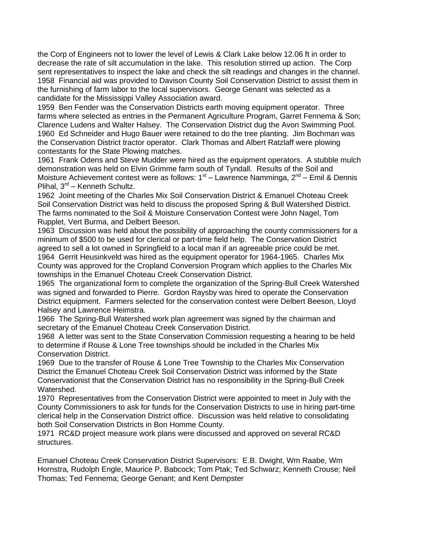the Corp of Engineers not to lower the level of Lewis & Clark Lake below 12.06 ft in order to decrease the rate of silt accumulation in the lake. This resolution stirred up action. The Corp sent representatives to inspect the lake and check the silt readings and changes in the channel. 1958 Financial aid was provided to Davison County Soil Conservation District to assist them in the furnishing of farm labor to the local supervisors. George Genant was selected as a candidate for the Mississippi Valley Association award.

1959 Ben Fender was the Conservation Districts earth moving equipment operator. Three farms where selected as entries in the Permanent Agriculture Program, Garret Fennema & Son; Clarence Ludens and Walter Halsey. The Conservation District dug the Avon Swimming Pool. 1960 Ed Schneider and Hugo Bauer were retained to do the tree planting. Jim Bochman was the Conservation District tractor operator. Clark Thomas and Albert Ratzlaff were plowing contestants for the State Plowing matches.

1961 Frank Odens and Steve Mudder were hired as the equipment operators. A stubble mulch demonstration was held on Elvin Grimme farm south of Tyndall. Results of the Soil and Moisture Achievement contest were as follows: 1<sup>st</sup> – Lawrence Namminga, 2<sup>nd</sup> – Emil & Dennis Plihal, 3<sup>rd</sup> – Kenneth Schultz.

1962 Joint meeting of the Charles Mix Soil Conservation District & Emanuel Choteau Creek Soil Conservation District was held to discuss the proposed Spring & Bull Watershed District. The farms nominated to the Soil & Moisture Conservation Contest were John Nagel, Tom Rupplet, Vert Burma, and Delbert Beeson.

1963 Discussion was held about the possibility of approaching the county commissioners for a minimum of \$500 to be used for clerical or part-time field help. The Conservation District agreed to sell a lot owned in Springfield to a local man if an agreeable price could be met. 1964 Gerrit Heusinkveld was hired as the equipment operator for 1964-1965. Charles Mix County was approved for the Cropland Conversion Program which applies to the Charles Mix townships in the Emanuel Choteau Creek Conservation District.

1965 The organizational form to complete the organization of the Spring-Bull Creek Watershed was signed and forwarded to Pierre. Gordon Raysby was hired to operate the Conservation District equipment. Farmers selected for the conservation contest were Delbert Beeson, Lloyd Halsey and Lawrence Heimstra.

1966 The Spring-Bull Watershed work plan agreement was signed by the chairman and secretary of the Emanuel Choteau Creek Conservation District.

1968 A letter was sent to the State Conservation Commission requesting a hearing to be held to determine if Rouse & Lone Tree townships should be included in the Charles Mix Conservation District.

1969 Due to the transfer of Rouse & Lone Tree Township to the Charles Mix Conservation District the Emanuel Choteau Creek Soil Conservation District was informed by the State Conservationist that the Conservation District has no responsibility in the Spring-Bull Creek Watershed.

1970 Representatives from the Conservation District were appointed to meet in July with the County Commissioners to ask for funds for the Conservation Districts to use in hiring part-time clerical help in the Conservation District office. Discussion was held relative to consolidating both Soil Conservation Districts in Bon Homme County.

1971 RC&D project measure work plans were discussed and approved on several RC&D structures.

Emanuel Choteau Creek Conservation District Supervisors: E.B. Dwight, Wm Raabe, Wm Hornstra, Rudolph Engle, Maurice P. Babcock; Tom Ptak; Ted Schwarz; Kenneth Crouse; Neil Thomas; Ted Fennema; George Genant; and Kent Dempster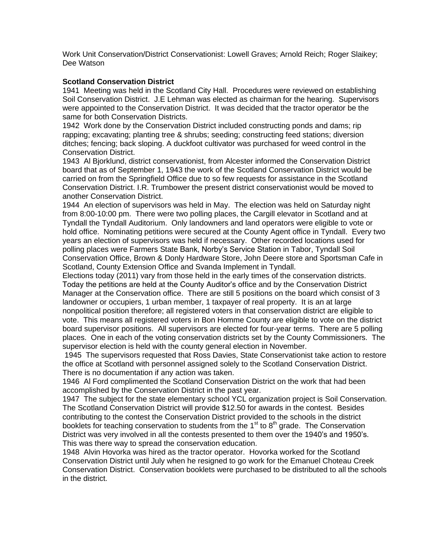Work Unit Conservation/District Conservationist: Lowell Graves; Arnold Reich; Roger Slaikey; Dee Watson

## **Scotland Conservation District**

1941 Meeting was held in the Scotland City Hall. Procedures were reviewed on establishing Soil Conservation District. J.E Lehman was elected as chairman for the hearing. Supervisors were appointed to the Conservation District. It was decided that the tractor operator be the same for both Conservation Districts.

1942 Work done by the Conservation District included constructing ponds and dams; rip rapping; excavating; planting tree & shrubs; seeding; constructing feed stations; diversion ditches; fencing; back sloping. A duckfoot cultivator was purchased for weed control in the Conservation District.

1943 Al Bjorklund, district conservationist, from Alcester informed the Conservation District board that as of September 1, 1943 the work of the Scotland Conservation District would be carried on from the Springfield Office due to so few requests for assistance in the Scotland Conservation District. I.R. Trumbower the present district conservationist would be moved to another Conservation District.

1944 An election of supervisors was held in May. The election was held on Saturday night from 8:00-10:00 pm. There were two polling places, the Cargill elevator in Scotland and at Tyndall the Tyndall Auditorium. Only landowners and land operators were eligible to vote or hold office. Nominating petitions were secured at the County Agent office in Tyndall. Every two years an election of supervisors was held if necessary. Other recorded locations used for polling places were Farmers State Bank, Norby's Service Station in Tabor, Tyndall Soil Conservation Office, Brown & Donly Hardware Store, John Deere store and Sportsman Cafe in Scotland, County Extension Office and Svanda Implement in Tyndall.

Elections today (2011) vary from those held in the early times of the conservation districts. Today the petitions are held at the County Auditor's office and by the Conservation District Manager at the Conservation office. There are still 5 positions on the board which consist of 3 landowner or occupiers, 1 urban member, 1 taxpayer of real property. It is an at large nonpolitical position therefore; all registered voters in that conservation district are eligible to vote. This means all registered voters in Bon Homme County are eligible to vote on the district board supervisor positions. All supervisors are elected for four-year terms. There are 5 polling places. One in each of the voting conservation districts set by the County Commissioners. The supervisor election is held with the county general election in November.

1945 The supervisors requested that Ross Davies, State Conservationist take action to restore the office at Scotland with personnel assigned solely to the Scotland Conservation District. There is no documentation if any action was taken.

1946 Al Ford complimented the Scotland Conservation District on the work that had been accomplished by the Conservation District in the past year.

1947 The subject for the state elementary school YCL organization project is Soil Conservation. The Scotland Conservation District will provide \$12.50 for awards in the contest. Besides contributing to the contest the Conservation District provided to the schools in the district booklets for teaching conservation to students from the  $1<sup>st</sup>$  to  $8<sup>th</sup>$  grade. The Conservation District was very involved in all the contests presented to them over the 1940's and 1950's. This was there way to spread the conservation education.

1948 Alvin Hovorka was hired as the tractor operator. Hovorka worked for the Scotland Conservation District until July when he resigned to go work for the Emanuel Choteau Creek Conservation District. Conservation booklets were purchased to be distributed to all the schools in the district.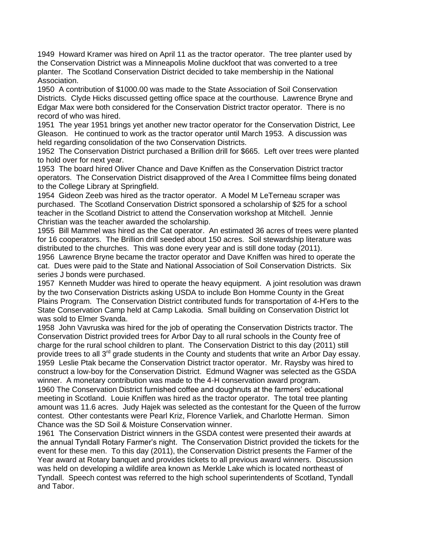1949 Howard Kramer was hired on April 11 as the tractor operator. The tree planter used by the Conservation District was a Minneapolis Moline duckfoot that was converted to a tree planter. The Scotland Conservation District decided to take membership in the National Association.

1950 A contribution of \$1000.00 was made to the State Association of Soil Conservation Districts. Clyde Hicks discussed getting office space at the courthouse. Lawrence Bryne and Edgar Max were both considered for the Conservation District tractor operator. There is no record of who was hired.

1951 The year 1951 brings yet another new tractor operator for the Conservation District, Lee Gleason. He continued to work as the tractor operator until March 1953. A discussion was held regarding consolidation of the two Conservation Districts.

1952 The Conservation District purchased a Brillion drill for \$665. Left over trees were planted to hold over for next year.

1953 The board hired Oliver Chance and Dave Kniffen as the Conservation District tractor operators. The Conservation District disapproved of the Area I Committee films being donated to the College Library at Springfield.

1954 Gideon Zeeb was hired as the tractor operator. A Model M LeTerneau scraper was purchased. The Scotland Conservation District sponsored a scholarship of \$25 for a school teacher in the Scotland District to attend the Conservation workshop at Mitchell. Jennie Christian was the teacher awarded the scholarship.

1955 Bill Mammel was hired as the Cat operator. An estimated 36 acres of trees were planted for 16 cooperators. The Brillion drill seeded about 150 acres. Soil stewardship literature was distributed to the churches. This was done every year and is still done today (2011).

1956 Lawrence Bryne became the tractor operator and Dave Kniffen was hired to operate the cat. Dues were paid to the State and National Association of Soil Conservation Districts. Six series J bonds were purchased.

1957 Kenneth Mudder was hired to operate the heavy equipment. A joint resolution was drawn by the two Conservation Districts asking USDA to include Bon Homme County in the Great Plains Program. The Conservation District contributed funds for transportation of 4-H'ers to the State Conservation Camp held at Camp Lakodia. Small building on Conservation District lot was sold to Elmer Svanda.

1958 John Vavruska was hired for the job of operating the Conservation Districts tractor. The Conservation District provided trees for Arbor Day to all rural schools in the County free of charge for the rural school children to plant. The Conservation District to this day (2011) still provide trees to all  $3<sup>rd</sup>$  grade students in the County and students that write an Arbor Day essay. 1959 Leslie Ptak became the Conservation District tractor operator. Mr. Raysby was hired to construct a low-boy for the Conservation District. Edmund Wagner was selected as the GSDA winner. A monetary contribution was made to the 4-H conservation award program.

1960 The Conservation District furnished coffee and doughnuts at the farmers' educational meeting in Scotland. Louie Kniffen was hired as the tractor operator. The total tree planting amount was 11.6 acres. Judy Hajek was selected as the contestant for the Queen of the furrow contest. Other contestants were Pearl Kriz, Florence Varliek, and Charlotte Herman. Simon Chance was the SD Soil & Moisture Conservation winner.

1961 The Conservation District winners in the GSDA contest were presented their awards at the annual Tyndall Rotary Farmer's night. The Conservation District provided the tickets for the event for these men. To this day (2011), the Conservation District presents the Farmer of the Year award at Rotary banquet and provides tickets to all previous award winners. Discussion was held on developing a wildlife area known as Merkle Lake which is located northeast of Tyndall. Speech contest was referred to the high school superintendents of Scotland, Tyndall and Tabor.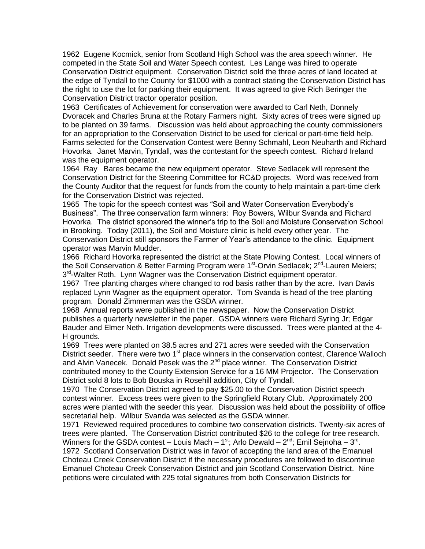1962 Eugene Kocmick, senior from Scotland High School was the area speech winner. He competed in the State Soil and Water Speech contest. Les Lange was hired to operate Conservation District equipment. Conservation District sold the three acres of land located at the edge of Tyndall to the County for \$1000 with a contract stating the Conservation District has the right to use the lot for parking their equipment. It was agreed to give Rich Beringer the Conservation District tractor operator position.

1963 Certificates of Achievement for conservation were awarded to Carl Neth, Donnely Dvoracek and Charles Bruna at the Rotary Farmers night. Sixty acres of trees were signed up to be planted on 39 farms. Discussion was held about approaching the county commissioners for an appropriation to the Conservation District to be used for clerical or part-time field help. Farms selected for the Conservation Contest were Benny Schmahl, Leon Neuharth and Richard Hovorka. Janet Marvin, Tyndall, was the contestant for the speech contest. Richard Ireland was the equipment operator.

1964 Ray Bares became the new equipment operator. Steve Sedlacek will represent the Conservation District for the Steering Committee for RC&D projects. Word was received from the County Auditor that the request for funds from the county to help maintain a part-time clerk for the Conservation District was rejected.

1965 The topic for the speech contest was "Soil and Water Conservation Everybody's Business". The three conservation farm winners: Roy Bowers, Wilbur Svanda and Richard Hovorka. The district sponsored the winner's trip to the Soil and Moisture Conservation School in Brooking. Today (2011), the Soil and Moisture clinic is held every other year. The Conservation District still sponsors the Farmer of Year's attendance to the clinic. Equipment operator was Marvin Mudder.

1966 Richard Hovorka represented the district at the State Plowing Contest. Local winners of the Soil Conservation & Better Farming Program were 1<sup>st</sup>-Orvin Sedlacek; 2<sup>nd</sup>-Lauren Meiers; 3<sup>rd</sup>-Walter Roth. Lynn Wagner was the Conservation District equipment operator.

1967 Tree planting charges where changed to rod basis rather than by the acre. Ivan Davis replaced Lynn Wagner as the equipment operator. Tom Svanda is head of the tree planting program. Donald Zimmerman was the GSDA winner.

1968 Annual reports were published in the newspaper. Now the Conservation District publishes a quarterly newsletter in the paper. GSDA winners were Richard Syring Jr; Edgar Bauder and Elmer Neth. Irrigation developments were discussed. Trees were planted at the 4- H grounds.

1969 Trees were planted on 38.5 acres and 271 acres were seeded with the Conservation District seeder. There were two  $1<sup>st</sup>$  place winners in the conservation contest, Clarence Walloch and Alvin Vanecek. Donald Pesek was the 2<sup>nd</sup> place winner. The Conservation District contributed money to the County Extension Service for a 16 MM Projector. The Conservation District sold 8 lots to Bob Bouska in Rosehill addition, City of Tyndall.

1970 The Conservation District agreed to pay \$25.00 to the Conservation District speech contest winner. Excess trees were given to the Springfield Rotary Club. Approximately 200 acres were planted with the seeder this year. Discussion was held about the possibility of office secretarial help. Wilbur Svanda was selected as the GSDA winner.

1971 Reviewed required procedures to combine two conservation districts. Twenty-six acres of trees were planted. The Conservation District contributed \$26 to the college for tree research. Winners for the GSDA contest – Louis Mach – 1<sup>st</sup>; Arlo Dewald – 2<sup>nd</sup>; Emil Sejnoha – 3<sup>rd</sup>. 1972 Scotland Conservation District was in favor of accepting the land area of the Emanuel Choteau Creek Conservation District if the necessary procedures are followed to discontinue Emanuel Choteau Creek Conservation District and join Scotland Conservation District. Nine petitions were circulated with 225 total signatures from both Conservation Districts for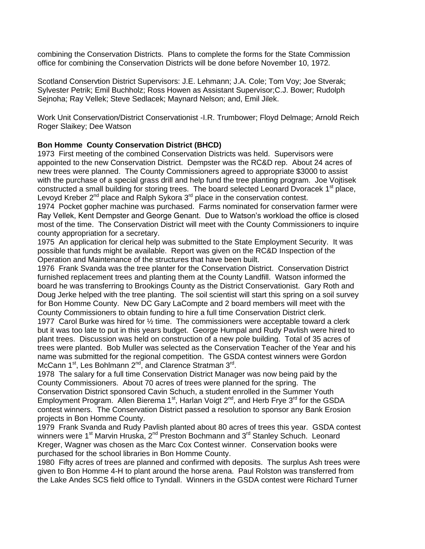combining the Conservation Districts. Plans to complete the forms for the State Commission office for combining the Conservation Districts will be done before November 10, 1972.

Scotland Conservtion District Supervisors: J.E. Lehmann; J.A. Cole; Tom Voy; Joe Stverak; Sylvester Petrik; Emil Buchholz; Ross Howen as Assistant Supervisor;C.J. Bower; Rudolph Sejnoha; Ray Vellek; Steve Sedlacek; Maynard Nelson; and, Emil Jilek.

Work Unit Conservation/District Conservationist -I.R. Trumbower; Floyd Delmage; Arnold Reich Roger Slaikey; Dee Watson

## **Bon Homme County Conservation District (BHCD)**

1973 First meeting of the combined Conservation Districts was held. Supervisors were appointed to the new Conservation District. Dempster was the RC&D rep. About 24 acres of new trees were planned. The County Commissioners agreed to appropriate \$3000 to assist with the purchase of a special grass drill and help fund the tree planting program. Joe Vojtisek constructed a small building for storing trees. The board selected Leonard Dvoracek 1<sup>st</sup> place, Levoyd Kreber  $2^{nd}$  place and Ralph Sykora  $3^{rd}$  place in the conservation contest.

1974 Pocket gopher machine was purchased. Farms nominated for conservation farmer were Ray Vellek, Kent Dempster and George Genant. Due to Watson's workload the office is closed most of the time. The Conservation District will meet with the County Commissioners to inquire county appropriation for a secretary.

1975 An application for clerical help was submitted to the State Employment Security. It was possible that funds might be available. Report was given on the RC&D Inspection of the Operation and Maintenance of the structures that have been built.

1976 Frank Svanda was the tree planter for the Conservation District. Conservation District furnished replacement trees and planting them at the County Landfill. Watson informed the board he was transferring to Brookings County as the District Conservationist. Gary Roth and Doug Jerke helped with the tree planting. The soil scientist will start this spring on a soil survey for Bon Homme County. New DC Gary LaCompte and 2 board members will meet with the County Commissioners to obtain funding to hire a full time Conservation District clerk.

1977 Carol Burke was hired for  $\frac{1}{2}$  time. The commissioners were acceptable toward a clerk but it was too late to put in this years budget. George Humpal and Rudy Pavlish were hired to plant trees. Discussion was held on construction of a new pole building. Total of 35 acres of trees were planted. Bob Muller was selected as the Conservation Teacher of the Year and his name was submitted for the regional competition. The GSDA contest winners were Gordon McCann 1<sup>st</sup>, Les Bohlmann 2<sup>nd</sup>, and Clarence Stratman 3<sup>rd</sup>.

1978 The salary for a full time Conservation District Manager was now being paid by the County Commissioners. About 70 acres of trees were planned for the spring. The Conservation District sponsored Cavin Schuch, a student enrolled in the Summer Youth Employment Program. Allen Bierema  $1<sup>st</sup>$ , Harlan Voigt  $2<sup>nd</sup>$ , and Herb Frye  $3<sup>rd</sup>$  for the GSDA contest winners. The Conservation District passed a resolution to sponsor any Bank Erosion projects in Bon Homme County.

1979 Frank Svanda and Rudy Pavlish planted about 80 acres of trees this year. GSDA contest winners were 1<sup>st</sup> Marvin Hruska, 2<sup>nd</sup> Preston Bochmann and 3<sup>rd</sup> Stanley Schuch. Leonard Kreger, Wagner was chosen as the Marc Cox Contest winner. Conservation books were purchased for the school libraries in Bon Homme County.

1980 Fifty acres of trees are planned and confirmed with deposits. The surplus Ash trees were given to Bon Homme 4-H to plant around the horse arena. Paul Rolston was transferred from the Lake Andes SCS field office to Tyndall. Winners in the GSDA contest were Richard Turner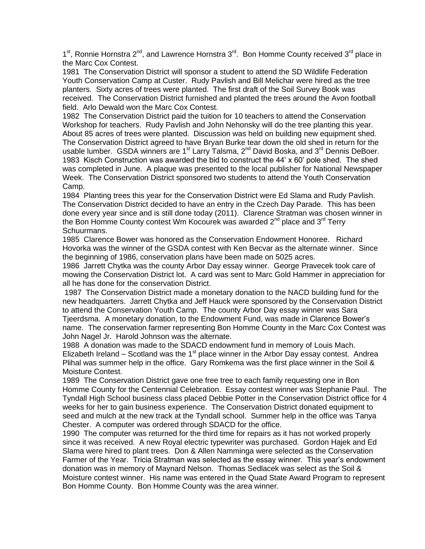1<sup>st</sup>, Ronnie Hornstra 2<sup>nd</sup>, and Lawrence Hornstra 3<sup>rd</sup>. Bon Homme County received 3<sup>rd</sup> place in the Marc Cox Contest.

1981 The Conservation District will sponsor a student to attend the SD Wildlife Federation Youth Conservation Camp at Custer. Rudy Pavlish and Bill Melichar were hired as the tree planters. Sixty acres of trees were planted. The first draft of the Soil Survey Book was received. The Conservation District furnished and planted the trees around the Avon football field. Arlo Dewald won the Marc Cox Contest.

1982 The Conservation District paid the tuition for 10 teachers to attend the Conservation Workshop for teachers. Rudy Pavlish and John Nehonsky will do the tree planting this year. About 85 acres of trees were planted. Discussion was held on building new equipment shed. The Conservation District agreed to have Bryan Burke tear down the old shed in return for the usable lumber. GSDA winners are 1<sup>st</sup> Larry Talsma, 2<sup>nd</sup> David Boska, and 3<sup>rd</sup> Dennis DeBoer. 1983 Kisch Construction was awarded the bid to construct the 44' x 60' pole shed. The shed was completed in June. A plaque was presented to the local publisher for National Newspaper Week. The Conservation District sponsored two students to attend the Youth Conservation Camp.

1984 Planting trees this year for the Conservation District were Ed Slama and Rudy Pavlish. The Conservation District decided to have an entry in the Czech Day Parade. This has been done every year since and is still done today (2011). Clarence Stratman was chosen winner in the Bon Homme County contest Wm Kocourek was awarded  $2^{nd}$  place and  $3^{rd}$  Terry Schuurmans.

1985 Clarence Bower was honored as the Conservation Endowment Honoree. Richard Hovorka was the winner of the GSDA contest with Ken Becvar as the alternate winner. Since the beginning of 1986, conservation plans have been made on 5025 acres.

1986 Jarrett Chytka was the county Arbor Day essay winner. George Pravecek took care of mowing the Conservation District lot. A card was sent to Marc Gold Hammer in appreciation for all he has done for the conservation District.

1987 The Conservation District made a monetary donation to the NACD building fund for the new headquarters. Jarrett Chytka and Jeff Hauck were sponsored by the Conservation District to attend the Conservation Youth Camp. The county Arbor Day essay winner was Sara Tjeerdsma. A monetary donation, to the Endowment Fund, was made in Clarence Bower's name. The conservation farmer representing Bon Homme County in the Marc Cox Contest was John Nagel Jr. Harold Johnson was the alternate.

1988 A donation was made to the SDACD endowment fund in memory of Louis Mach. Elizabeth Ireland – Scotland was the 1<sup>st</sup> place winner in the Arbor Day essay contest. Andrea Plihal was summer help in the office. Gary Romkema was the first place winner in the Soil & Moisture Contest.

1989 The Conservation District gave one free tree to each family requesting one in Bon Homme County for the Centennial Celebration. Essay contest winner was Stephanie Paul. The Tyndall High School business class placed Debbie Potter in the Conservation District office for 4 weeks for her to gain business experience. The Conservation District donated equipment to seed and mulch at the new track at the Tyndall school. Summer help in the office was Tanya Chester. A computer was ordered through SDACD for the office.

1990 The computer was returned for the third time for repairs as it has not worked properly since it was received. A new Royal electric typewriter was purchased. Gordon Hajek and Ed Slama were hired to plant trees. Don & Allen Namminga were selected as the Conservation Farmer of the Year. Tricia Stratman was selected as the essay winner. This year's endowment donation was in memory of Maynard Nelson. Thomas Sedlacek was select as the Soil & Moisture contest winner. His name was entered in the Quad State Award Program to represent Bon Homme County. Bon Homme County was the area winner.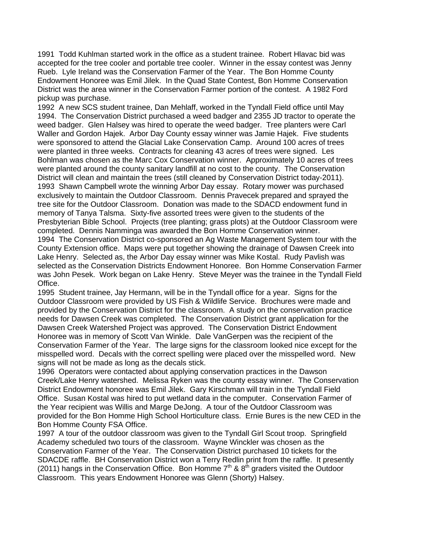1991 Todd Kuhlman started work in the office as a student trainee. Robert Hlavac bid was accepted for the tree cooler and portable tree cooler. Winner in the essay contest was Jenny Rueb. Lyle Ireland was the Conservation Farmer of the Year. The Bon Homme County Endowment Honoree was Emil Jilek. In the Quad State Contest, Bon Homme Conservation District was the area winner in the Conservation Farmer portion of the contest. A 1982 Ford pickup was purchase.

1992 A new SCS student trainee, Dan Mehlaff, worked in the Tyndall Field office until May 1994. The Conservation District purchased a weed badger and 2355 JD tractor to operate the weed badger. Glen Halsey was hired to operate the weed badger. Tree planters were Carl Waller and Gordon Hajek. Arbor Day County essay winner was Jamie Hajek. Five students were sponsored to attend the Glacial Lake Conservation Camp. Around 100 acres of trees were planted in three weeks. Contracts for cleaning 43 acres of trees were signed. Les Bohlman was chosen as the Marc Cox Conservation winner. Approximately 10 acres of trees were planted around the county sanitary landfill at no cost to the county. The Conservation District will clean and maintain the trees (still cleaned by Conservation District today-2011). 1993 Shawn Campbell wrote the winning Arbor Day essay. Rotary mower was purchased exclusively to maintain the Outdoor Classroom. Dennis Pravecek prepared and sprayed the tree site for the Outdoor Classroom. Donation was made to the SDACD endowment fund in memory of Tanya Talsma. Sixty-five assorted trees were given to the students of the Presbyterian Bible School. Projects (tree planting; grass plots) at the Outdoor Classroom were completed. Dennis Namminga was awarded the Bon Homme Conservation winner.

1994 The Conservation District co-sponsored an Ag Waste Management System tour with the County Extension office. Maps were put together showing the drainage of Dawsen Creek into Lake Henry. Selected as, the Arbor Day essay winner was Mike Kostal. Rudy Pavlish was selected as the Conservation Districts Endowment Honoree. Bon Homme Conservation Farmer was John Pesek. Work began on Lake Henry. Steve Meyer was the trainee in the Tyndall Field Office.

1995 Student trainee, Jay Hermann, will be in the Tyndall office for a year. Signs for the Outdoor Classroom were provided by US Fish & Wildlife Service. Brochures were made and provided by the Conservation District for the classroom. A study on the conservation practice needs for Dawsen Creek was completed. The Conservation District grant application for the Dawsen Creek Watershed Project was approved. The Conservation District Endowment Honoree was in memory of Scott Van Winkle. Dale VanGerpen was the recipient of the Conservation Farmer of the Year. The large signs for the classroom looked nice except for the misspelled word. Decals with the correct spelling were placed over the misspelled word. New signs will not be made as long as the decals stick.

1996 Operators were contacted about applying conservation practices in the Dawson Creek/Lake Henry watershed. Melissa Ryken was the county essay winner. The Conservation District Endowment honoree was Emil Jilek. Gary Kirschman will train in the Tyndall Field Office. Susan Kostal was hired to put wetland data in the computer. Conservation Farmer of the Year recipient was Willis and Marge DeJong. A tour of the Outdoor Classroom was provided for the Bon Homme High School Horticulture class. Ernie Bures is the new CED in the Bon Homme County FSA Office.

1997 A tour of the outdoor classroom was given to the Tyndall Girl Scout troop. Springfield Academy scheduled two tours of the classroom. Wayne Winckler was chosen as the Conservation Farmer of the Year. The Conservation District purchased 10 tickets for the SDACDE raffle. BH Conservation District won a Terry Redlin print from the raffle. It presently (2011) hangs in the Conservation Office. Bon Homme  $7<sup>th</sup>$  &  $8<sup>th</sup>$  graders visited the Outdoor Classroom. This years Endowment Honoree was Glenn (Shorty) Halsey.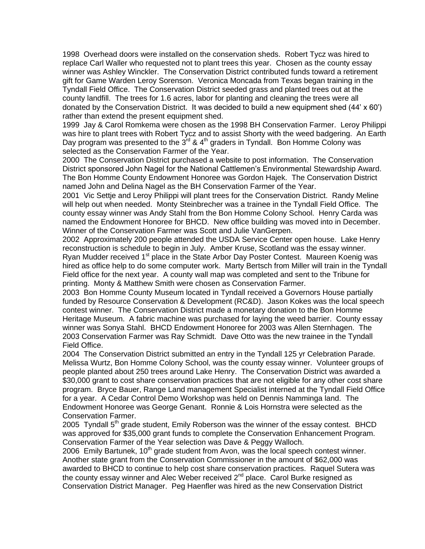1998 Overhead doors were installed on the conservation sheds. Robert Tycz was hired to replace Carl Waller who requested not to plant trees this year. Chosen as the county essay winner was Ashley Winckler. The Conservation District contributed funds toward a retirement gift for Game Warden Leroy Sorenson. Veronica Moncada from Texas began training in the Tyndall Field Office. The Conservation District seeded grass and planted trees out at the county landfill. The trees for 1.6 acres, labor for planting and cleaning the trees were all donated by the Conservation District. It was decided to build a new equipment shed (44' x 60') rather than extend the present equipment shed.

1999 Jay & Carol Romkema were chosen as the 1998 BH Conservation Farmer. Leroy Philippi was hire to plant trees with Robert Tycz and to assist Shorty with the weed badgering. An Earth Day program was presented to the  $3^{rd}$  &  $4^{th}$  graders in Tyndall. Bon Homme Colony was selected as the Conservation Farmer of the Year.

2000 The Conservation District purchased a website to post information. The Conservation District sponsored John Nagel for the National Cattlemen's Environmental Stewardship Award. The Bon Homme County Endowment Honoree was Gordon Hajek. The Conservation District named John and Delina Nagel as the BH Conservation Farmer of the Year.

2001 Vic Settje and Leroy Philippi will plant trees for the Conservation District. Randy Meline will help out when needed. Monty Steinbrecher was a trainee in the Tyndall Field Office. The county essay winner was Andy Stahl from the Bon Homme Colony School. Henry Carda was named the Endowment Honoree for BHCD. New office building was moved into in December. Winner of the Conservation Farmer was Scott and Julie VanGerpen.

2002 Approximately 200 people attended the USDA Service Center open house. Lake Henry reconstruction is schedule to begin in July. Amber Kruse, Scotland was the essay winner. Ryan Mudder received 1<sup>st</sup> place in the State Arbor Day Poster Contest. Maureen Koenig was hired as office help to do some computer work. Marty Bertsch from Miller will train in the Tyndall Field office for the next year. A county wall map was completed and sent to the Tribune for printing. Monty & Matthew Smith were chosen as Conservation Farmer.

2003 Bon Homme County Museum located in Tyndall received a Governors House partially funded by Resource Conservation & Development (RC&D). Jason Kokes was the local speech contest winner. The Conservation District made a monetary donation to the Bon Homme Heritage Museum. A fabric machine was purchased for laying the weed barrier. County essay winner was Sonya Stahl. BHCD Endowment Honoree for 2003 was Allen Sternhagen. The 2003 Conservation Farmer was Ray Schmidt. Dave Otto was the new trainee in the Tyndall Field Office.

2004 The Conservation District submitted an entry in the Tyndall 125 yr Celebration Parade. Melissa Wurtz, Bon Homme Colony School, was the county essay winner. Volunteer groups of people planted about 250 trees around Lake Henry. The Conservation District was awarded a \$30,000 grant to cost share conservation practices that are not eligible for any other cost share program. Bryce Bauer, Range Land management Specialist interned at the Tyndall Field Office for a year. A Cedar Control Demo Workshop was held on Dennis Namminga land. The Endowment Honoree was George Genant. Ronnie & Lois Hornstra were selected as the Conservation Farmer.

2005 Tyndall  $5<sup>th</sup>$  grade student, Emily Roberson was the winner of the essay contest. BHCD was approved for \$35,000 grant funds to complete the Conservation Enhancement Program. Conservation Farmer of the Year selection was Dave & Peggy Walloch.

2006 Emily Bartunek,  $10<sup>th</sup>$  grade student from Avon, was the local speech contest winner. Another state grant from the Conservation Commissioner in the amount of \$62,000 was awarded to BHCD to continue to help cost share conservation practices. Raquel Sutera was the county essay winner and Alec Weber received  $2^{nd}$  place. Carol Burke resigned as Conservation District Manager. Peg Haenfler was hired as the new Conservation District